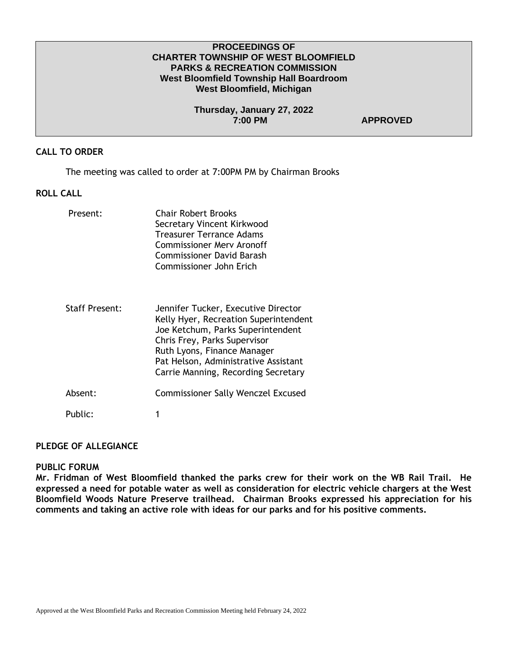## **PROCEEDINGS OF CHARTER TOWNSHIP OF WEST BLOOMFIELD PARKS & RECREATION COMMISSION West Bloomfield Township Hall Boardroom West Bloomfield, Michigan**

**Thursday, January 27, 2022 7:00 PM APPROVED** 

## **CALL TO ORDER**

The meeting was called to order at 7:00PM PM by Chairman Brooks

## **ROLL CALL**

| Present:              | <b>Chair Robert Brooks</b><br>Secretary Vincent Kirkwood<br>Treasurer Terrance Adams<br><b>Commissioner Merv Aronoff</b><br><b>Commissioner David Barash</b><br>Commissioner John Erich                                                                         |
|-----------------------|-----------------------------------------------------------------------------------------------------------------------------------------------------------------------------------------------------------------------------------------------------------------|
| <b>Staff Present:</b> | Jennifer Tucker, Executive Director<br>Kelly Hyer, Recreation Superintendent<br>Joe Ketchum, Parks Superintendent<br>Chris Frey, Parks Supervisor<br>Ruth Lyons, Finance Manager<br>Pat Helson, Administrative Assistant<br>Carrie Manning, Recording Secretary |
| Absent:               | <b>Commissioner Sally Wenczel Excused</b>                                                                                                                                                                                                                       |
| Public:               | 1                                                                                                                                                                                                                                                               |

## **PLEDGE OF ALLEGIANCE**

#### **PUBLIC FORUM**

**Mr. Fridman of West Bloomfield thanked the parks crew for their work on the WB Rail Trail. He expressed a need for potable water as well as consideration for electric vehicle chargers at the West Bloomfield Woods Nature Preserve trailhead. Chairman Brooks expressed his appreciation for his comments and taking an active role with ideas for our parks and for his positive comments.**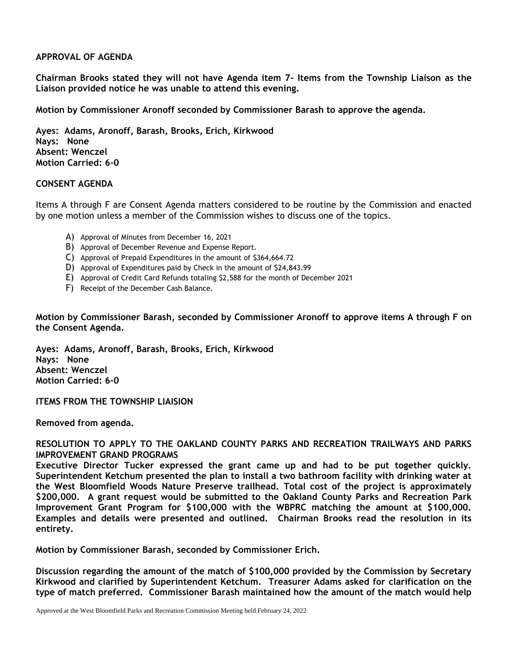## **APPROVAL OF AGENDA**

**Chairman Brooks stated they will not have Agenda item 7- Items from the Township Liaison as the Liaison provided notice he was unable to attend this evening.**

**Motion by Commissioner Aronoff seconded by Commissioner Barash to approve the agenda.** 

**Ayes: Adams, Aronoff, Barash, Brooks, Erich, Kirkwood Nays: None Absent: Wenczel Motion Carried: 6-0**

### **CONSENT AGENDA**

Items A through F are Consent Agenda matters considered to be routine by the Commission and enacted by one motion unless a member of the Commission wishes to discuss one of the topics.

- A) Approval of Minutes from December 16, 2021
- B) Approval of December Revenue and Expense Report.
- C) Approval of Prepaid Expenditures in the amount of \$364,664.72
- D) Approval of Expenditures paid by Check in the amount of \$24,843.99
- E) Approval of Credit Card Refunds totaling \$2,588 for the month of December 2021
- F) Receipt of the December Cash Balance.

**Motion by Commissioner Barash, seconded by Commissioner Aronoff to approve items A through F on the Consent Agenda.**

**Ayes: Adams, Aronoff, Barash, Brooks, Erich, Kirkwood Nays: None Absent: Wenczel Motion Carried: 6-0**

**ITEMS FROM THE TOWNSHIP LIAISION**

**Removed from agenda.**

## **RESOLUTION TO APPLY TO THE OAKLAND COUNTY PARKS AND RECREATION TRAILWAYS AND PARKS IMPROVEMENT GRAND PROGRAMS**

**Executive Director Tucker expressed the grant came up and had to be put together quickly. Superintendent Ketchum presented the plan to install a two bathroom facility with drinking water at the West Bloomfield Woods Nature Preserve trailhead. Total cost of the project is approximately \$200,000. A grant request would be submitted to the Oakland County Parks and Recreation Park Improvement Grant Program for \$100,000 with the WBPRC matching the amount at \$100,000. Examples and details were presented and outlined. Chairman Brooks read the resolution in its entirety.**

**Motion by Commissioner Barash, seconded by Commissioner Erich.**

**Discussion regarding the amount of the match of \$100,000 provided by the Commission by Secretary Kirkwood and clarified by Superintendent Ketchum. Treasurer Adams asked for clarification on the type of match preferred. Commissioner Barash maintained how the amount of the match would help**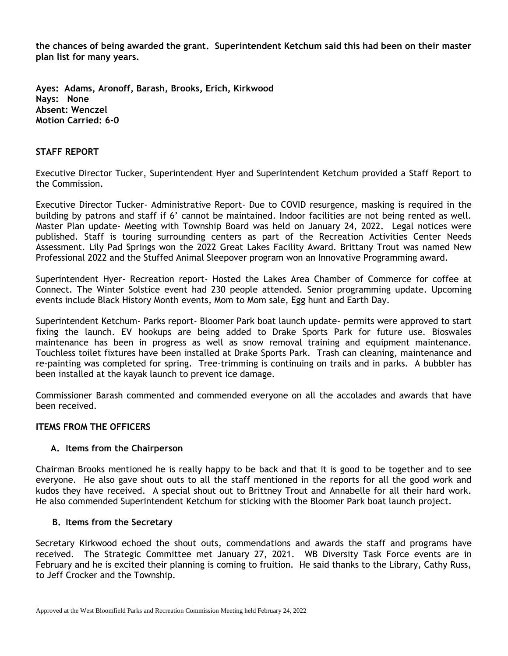**the chances of being awarded the grant. Superintendent Ketchum said this had been on their master plan list for many years.**

**Ayes: Adams, Aronoff, Barash, Brooks, Erich, Kirkwood Nays: None Absent: Wenczel Motion Carried: 6-0**

## **STAFF REPORT**

Executive Director Tucker, Superintendent Hyer and Superintendent Ketchum provided a Staff Report to the Commission.

Executive Director Tucker- Administrative Report- Due to COVID resurgence, masking is required in the building by patrons and staff if 6' cannot be maintained. Indoor facilities are not being rented as well. Master Plan update- Meeting with Township Board was held on January 24, 2022. Legal notices were published. Staff is touring surrounding centers as part of the Recreation Activities Center Needs Assessment. Lily Pad Springs won the 2022 Great Lakes Facility Award. Brittany Trout was named New Professional 2022 and the Stuffed Animal Sleepover program won an Innovative Programming award.

Superintendent Hyer- Recreation report- Hosted the Lakes Area Chamber of Commerce for coffee at Connect. The Winter Solstice event had 230 people attended. Senior programming update. Upcoming events include Black History Month events, Mom to Mom sale, Egg hunt and Earth Day.

Superintendent Ketchum- Parks report- Bloomer Park boat launch update- permits were approved to start fixing the launch. EV hookups are being added to Drake Sports Park for future use. Bioswales maintenance has been in progress as well as snow removal training and equipment maintenance. Touchless toilet fixtures have been installed at Drake Sports Park. Trash can cleaning, maintenance and re-painting was completed for spring. Tree-trimming is continuing on trails and in parks. A bubbler has been installed at the kayak launch to prevent ice damage.

Commissioner Barash commented and commended everyone on all the accolades and awards that have been received.

### **ITEMS FROM THE OFFICERS**

### **A. Items from the Chairperson**

Chairman Brooks mentioned he is really happy to be back and that it is good to be together and to see everyone. He also gave shout outs to all the staff mentioned in the reports for all the good work and kudos they have received. A special shout out to Brittney Trout and Annabelle for all their hard work. He also commended Superintendent Ketchum for sticking with the Bloomer Park boat launch project.

### **B. Items from the Secretary**

Secretary Kirkwood echoed the shout outs, commendations and awards the staff and programs have received. The Strategic Committee met January 27, 2021. WB Diversity Task Force events are in February and he is excited their planning is coming to fruition. He said thanks to the Library, Cathy Russ, to Jeff Crocker and the Township.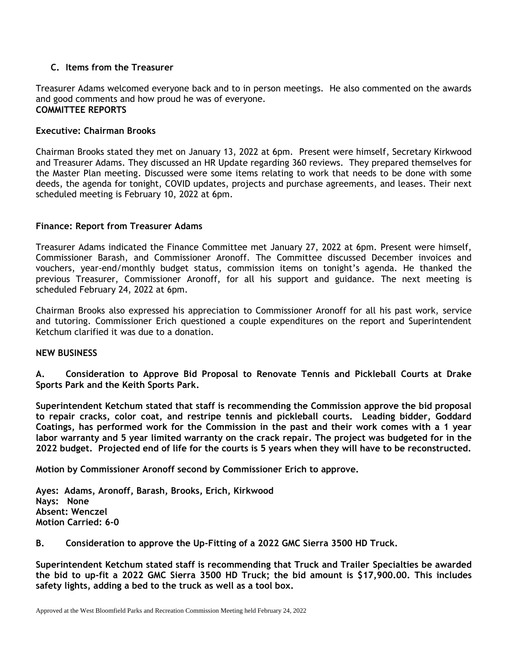# **C. Items from the Treasurer**

Treasurer Adams welcomed everyone back and to in person meetings. He also commented on the awards and good comments and how proud he was of everyone. **COMMITTEE REPORTS**

# **Executive: Chairman Brooks**

Chairman Brooks stated they met on January 13, 2022 at 6pm. Present were himself, Secretary Kirkwood and Treasurer Adams. They discussed an HR Update regarding 360 reviews. They prepared themselves for the Master Plan meeting. Discussed were some items relating to work that needs to be done with some deeds, the agenda for tonight, COVID updates, projects and purchase agreements, and leases. Their next scheduled meeting is February 10, 2022 at 6pm.

## **Finance: Report from Treasurer Adams**

Treasurer Adams indicated the Finance Committee met January 27, 2022 at 6pm. Present were himself, Commissioner Barash, and Commissioner Aronoff. The Committee discussed December invoices and vouchers, year-end/monthly budget status, commission items on tonight's agenda. He thanked the previous Treasurer, Commissioner Aronoff, for all his support and guidance. The next meeting is scheduled February 24, 2022 at 6pm.

Chairman Brooks also expressed his appreciation to Commissioner Aronoff for all his past work, service and tutoring. Commissioner Erich questioned a couple expenditures on the report and Superintendent Ketchum clarified it was due to a donation.

### **NEW BUSINESS**

**A. Consideration to Approve Bid Proposal to Renovate Tennis and Pickleball Courts at Drake Sports Park and the Keith Sports Park.**

**Superintendent Ketchum stated that staff is recommending the Commission approve the bid proposal to repair cracks, color coat, and restripe tennis and pickleball courts. Leading bidder, Goddard Coatings, has performed work for the Commission in the past and their work comes with a 1 year labor warranty and 5 year limited warranty on the crack repair. The project was budgeted for in the 2022 budget. Projected end of life for the courts is 5 years when they will have to be reconstructed.**

**Motion by Commissioner Aronoff second by Commissioner Erich to approve.**

**Ayes: Adams, Aronoff, Barash, Brooks, Erich, Kirkwood Nays: None Absent: Wenczel Motion Carried: 6-0**

**B. Consideration to approve the Up-Fitting of a 2022 GMC Sierra 3500 HD Truck.**

**Superintendent Ketchum stated staff is recommending that Truck and Trailer Specialties be awarded the bid to up-fit a 2022 GMC Sierra 3500 HD Truck; the bid amount is \$17,900.00. This includes safety lights, adding a bed to the truck as well as a tool box.**